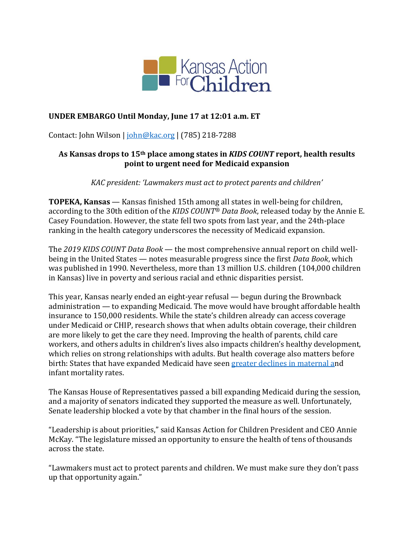

## **UNDER EMBARGO Until Monday, June 17 at 12:01 a.m. ET**

Contact: John Wilson | [john@kac.org](mailto:john@kac.org) | (785) 218-7288

#### **As Kansas drops to 15th place among states in** *KIDS COUNT* **report, health results point to urgent need for Medicaid expansion**

*KAC president: 'Lawmakers must act to protect parents and children'*

**TOPEKA, Kansas** — Kansas finished 15th among all states in well-being for children, according to the 30th edition of the *KIDS COUNT® Data Book*, released today by the Annie E. Casey Foundation. However, the state fell two spots from last year, and the 24th-place ranking in the health category underscores the necessity of Medicaid expansion.

The *2019 KIDS COUNT Data Book* — the most comprehensive annual report on child wellbeing in the United States — notes measurable progress since the first *Data Book*, which was published in 1990. Nevertheless, more than 13 million U.S. children (104,000 children in Kansas) live in poverty and serious racial and ethnic disparities persist.

This year, Kansas nearly ended an eight-year refusal — begun during the Brownback administration — to expanding Medicaid. The move would have brought affordable health insurance to 150,000 residents. While the state's children already can access coverage under Medicaid or CHIP, research shows that when adults obtain coverage, their children are more likely to get the care they need. Improving the health of parents, child care workers, and others adults in children's lives also impacts children's healthy development, which relies on strong relationships with adults. But health coverage also matters before birth: States that have expanded Medicaid have seen [greater declines in maternal an](https://ccf.georgetown.edu/2019/05/21/new-research-finds-medicaid-gains-help-lead-to-healthier-mothers-and-babies/)d infant mortality rates.

The Kansas House of Representatives passed a bill expanding Medicaid during the session, and a majority of senators indicated they supported the measure as well. Unfortunately, Senate leadership blocked a vote by that chamber in the final hours of the session.

"Leadership is about priorities," said Kansas Action for Children President and CEO Annie McKay. "The legislature missed an opportunity to ensure the health of tens of thousands across the state.

"Lawmakers must act to protect parents and children. We must make sure they don't pass up that opportunity again."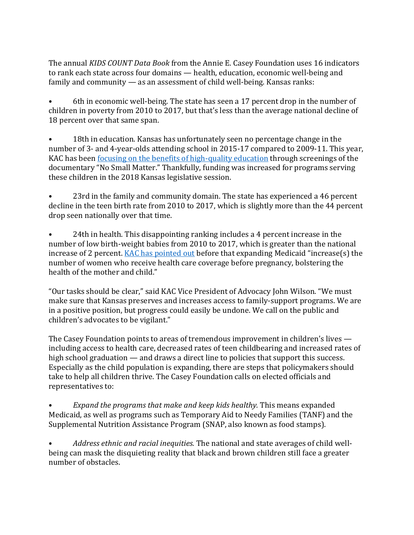The annual *KIDS COUNT Data Book* from the Annie E. Casey Foundation uses 16 indicators to rank each state across four domains — health, education, economic well-being and family and community — as an assessment of child well-being. Kansas ranks:

• 6th in economic well-being. The state has seen a 17 percent drop in the number of children in poverty from 2010 to 2017, but that's less than the average national decline of 18 percent over that same span.

• 18th in education. Kansas has unfortunately seen no percentage change in the number of 3- and 4-year-olds attending school in 2015-17 compared to 2009-11. This year, KAC has been [focusing on the benefits of high-quality education](https://www.cjonline.com/opinion/20190317/annie-mckay-quality-early-education-holds-key-for-kansas-future) through screenings of the documentary "No Small Matter." Thankfully, funding was increased for programs serving these children in the 2018 Kansas legislative session.

• 23rd in the family and community domain. The state has experienced a 46 percent decline in the teen birth rate from 2010 to 2017, which is slightly more than the 44 percent drop seen nationally over that time.

• 24th in health. This disappointing ranking includes a 4 percent increase in the number of low birth-weight babies from 2010 to 2017, which is greater than the national increase of 2 percent. [KAC has pointed out](https://kac.org/wp-content/uploads/2019/03/Medicaid-3.20.pdf) before that expanding Medicaid "increase(s) the number of women who receive health care coverage before pregnancy, bolstering the health of the mother and child."

"Our tasks should be clear," said KAC Vice President of Advocacy John Wilson. "We must make sure that Kansas preserves and increases access to family-support programs. We are in a positive position, but progress could easily be undone. We call on the public and children's advocates to be vigilant."

The Casey Foundation points to areas of tremendous improvement in children's lives including access to health care, decreased rates of teen childbearing and increased rates of high school graduation — and draws a direct line to policies that support this success. Especially as the child population is expanding, there are steps that policymakers should take to help all children thrive. The Casey Foundation calls on elected officials and representatives to:

• *Expand the programs that make and keep kids healthy.* This means expanded Medicaid, as well as programs such as Temporary Aid to Needy Families (TANF) and the Supplemental Nutrition Assistance Program (SNAP, also known as food stamps).

• *Address ethnic and racial inequities.* The national and state averages of child wellbeing can mask the disquieting reality that black and brown children still face a greater number of obstacles.